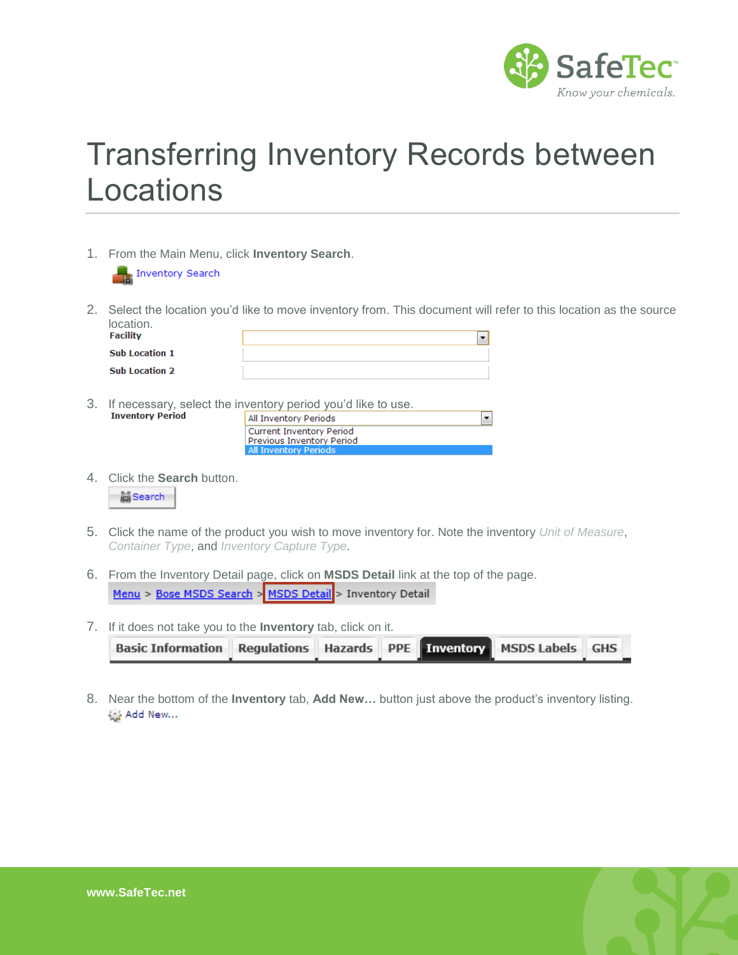

## Transferring Inventory Records between Locations

1. From the Main Menu, click **Inventory Search**.



2. Select the location you'd like to move inventory from. This document will refer to this location as the source location.

 $\blacktriangledown$ 

| <b>Facility</b>       |  |
|-----------------------|--|
| <b>Sub Location 1</b> |  |
| <b>Sub Location 2</b> |  |

3. If necessary, select the inventory period you'd like to use.<br>Inventory Period

| All Inventory Periods           |
|---------------------------------|
| <b>Current Inventory Period</b> |
| Previous Inventory Period       |
| <b>All Inventory Periods</b>    |

4. Click the **Search** button.



- 5. Click the name of the product you wish to move inventory for. Note the inventory *Unit of Measure*, *Container Type*, and *Inventory Capture Type*.
- 6. From the Inventory Detail page, click on **MSDS Detail** link at the top of the page. Menu > Bose MSDS Search > MSDS Detail > Inventory Detail
- 7. If it does not take you to the **Inventory** tab, click on it.

| Basic Information Regulations Hazards PPE Inventory MSDS Labels GHS |  |  |  |
|---------------------------------------------------------------------|--|--|--|
|                                                                     |  |  |  |

8. Near the bottom of the **Inventory** tab, **Add New…** button just above the product's inventory listing.Add New ...